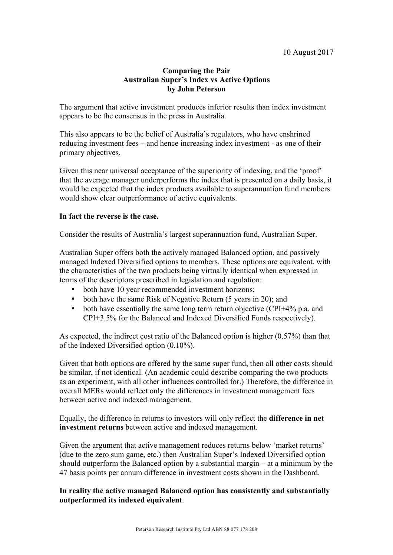# **Comparing the Pair Australian Super's Index vs Active Options by John Peterson**

The argument that active investment produces inferior results than index investment appears to be the consensus in the press in Australia.

This also appears to be the belief of Australia's regulators, who have enshrined reducing investment fees – and hence increasing index investment - as one of their primary objectives.

Given this near universal acceptance of the superiority of indexing, and the 'proof' that the average manager underperforms the index that is presented on a daily basis, it would be expected that the index products available to superannuation fund members would show clear outperformance of active equivalents.

## **In fact the reverse is the case.**

Consider the results of Australia's largest superannuation fund, Australian Super.

Australian Super offers both the actively managed Balanced option, and passively managed Indexed Diversified options to members. These options are equivalent, with the characteristics of the two products being virtually identical when expressed in terms of the descriptors prescribed in legislation and regulation:

- both have 10 year recommended investment horizons;
- both have the same Risk of Negative Return (5 years in 20); and
- both have essentially the same long term return objective (CPI+4% p.a. and CPI+3.5% for the Balanced and Indexed Diversified Funds respectively).

As expected, the indirect cost ratio of the Balanced option is higher (0.57%) than that of the Indexed Diversified option (0.10%).

Given that both options are offered by the same super fund, then all other costs should be similar, if not identical. (An academic could describe comparing the two products as an experiment, with all other influences controlled for.) Therefore, the difference in overall MERs would reflect only the differences in investment management fees between active and indexed management.

Equally, the difference in returns to investors will only reflect the **difference in net investment returns** between active and indexed management.

Given the argument that active management reduces returns below 'market returns' (due to the zero sum game, etc.) then Australian Super's Indexed Diversified option should outperform the Balanced option by a substantial margin – at a minimum by the 47 basis points per annum difference in investment costs shown in the Dashboard.

# **In reality the active managed Balanced option has consistently and substantially outperformed its indexed equivalent**.